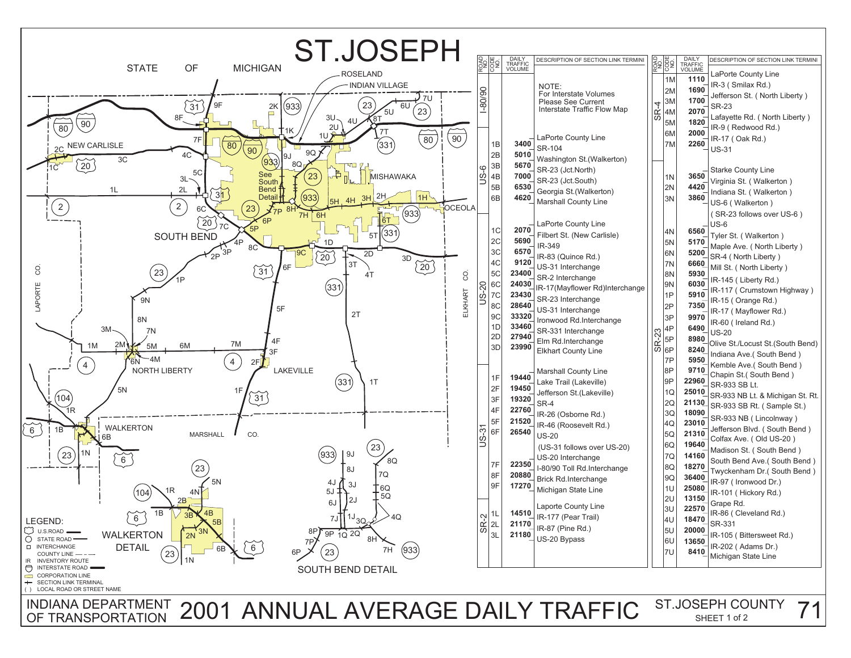